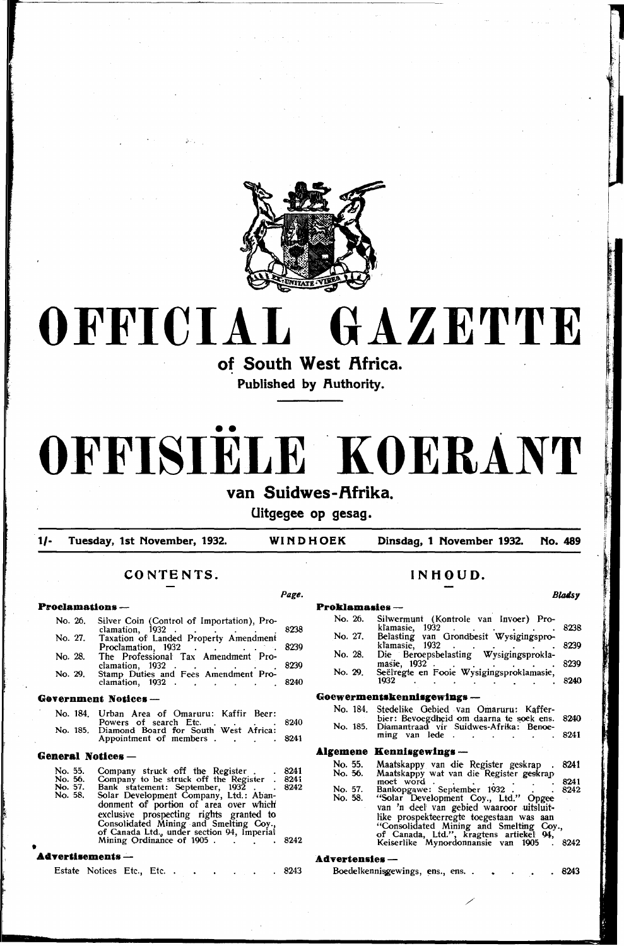

# **OFFICIAL GAZETTE**

of South West Africa.

**Published by Ruthority.** 

# **OFFISIELE .KOERANT**

# van Suidwes-Afrika.

**Uitgegee op gesag.** 

**1/- Tuesday, 1st November, 1932. WINDHOEK Dinsdag, 1 November 1932. No. 489** 

*Page.* 

# **CONTENTS.**

# **Prroclamatlons-**

No. 26. Silver Coin (Control of Importation), Proclamation, 1932 . . . . . . 8238 No. 27. Taxation of Landed Property Amendment Proclamation, 1932 . . . . . 8239

No. 28. The Professional Tax Amendment Proclamation, 1932 . . . . . . 8239 No. 29. Stamp Duties and Fees Amendment Pro-<br>clamation, 1932

### Government Notices --

| No. 184. Urban Area of Omaruru: Kaffir Beer:  |        |
|-----------------------------------------------|--------|
| Powers of search Etc. 8240                    |        |
| No. 185. Diamond Board for South West Africa: |        |
| Appointment of members                        | . 8241 |

# General Notices-

| No. 55. | Company struck off the Register.                                                                                                                                     | 8241 |
|---------|----------------------------------------------------------------------------------------------------------------------------------------------------------------------|------|
| No. 56. | Company to be struck off the Register . 8241                                                                                                                         |      |
| No. 57. | Bank statement: September, 1932.                                                                                                                                     | 8242 |
| No. 58. | Solar Development Company, Ltd.: Aban-<br>donment of portion of area over which<br>exclusive prospecting rights granted to<br>Consolidated Mining and Smelling Coy., |      |
|         | of Canada Ltd., under section 94, Imperial                                                                                                                           |      |
|         | Mining Ordinance of 1905.                                                                                                                                            | 8242 |

## • **A4Tertlsements-**

# **INHOUD.**

# **Proklamasies**<br>No. 26. Silv No. 26. Silwermunt (Kontrole van Invoer) Prokl'amasie, 1932 . . . . . . 8238 No. 27. Belasting van Grondbesit Wysigingsproklamasie, 1932 . . . . <del>.</del> . 8239 No. 28. Die Beroepsbelasting Wysigingsproklamasie, 1932 . . . . . . . . 8239 No. 29. Seëlregte en Fooie Wysigingsproklamasie,  $1932$  . . . . . . . . 8240 **Goewermentskennlsgewlags-**No. 184. Stedelike Gebied van Omaruru: Kafferbier: Bevoegdheid om daarna te soek ens. 8240<br>No. 185. Diamantraad vir Suidwes-Afrika: Benoe-<br>ming van lede . **.A.lgemene Kennlsgewlngs** -

| No. 55. | Maatskappy van die Register geskrap      | .8241 |
|---------|------------------------------------------|-------|
| No. 56. | Maatskappy wat van die Register geskrap  |       |
|         | moet word.                               | 8241  |
| No. 57. | Bankopgawe: September 1932.              | 8242  |
| No. 58. | "Solar Development Coy., Ltd." Opgee     |       |
|         | van 'n deel van gebied waaroor uitsluit- |       |
|         | like prospekteerregte toegestaan was aan |       |
|         | "Consolidated Mining and Smelting Cov.,  |       |
|         | of Canada, Ltd.", kragtens artiekel 94,  |       |
|         | Keiserlike Mynordonnansie van 1905.      | 8242  |
|         |                                          |       |

# **Advertensles-**

| Boedelkennisgewings, ens., ens |  |  |  | .8243 |
|--------------------------------|--|--|--|-------|
|                                |  |  |  |       |

/

# *Blollsy*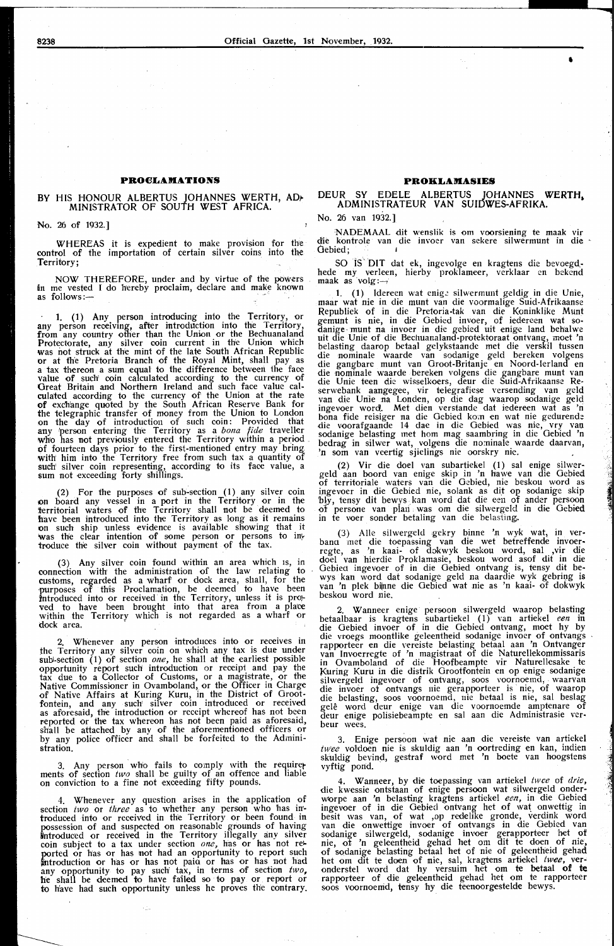# **PROCLAMATIONS**

# BY HIS HONOUR ALBERTUS JOHANNES WERTH, ADr MINISTRATOR OF SOUTH WEST AFRICA.

No. 26 of 1932.]

WHEREAS it is expedient to make provision for the control of the importation of certain silver coins into the Territory;

NOW THEREFORE, under and by virtue of the powers in me vested I do hereby proclaim, declare and make known<br>as follows:—

1. (1) Any person introducing into the Territory, or any person receiving, after introduction into the Territory, from any country other than the Union or the Bechuanaland Protectorate, any silver coin current in the Union which<br>was not struck at the mint of the late South African Republic<br>or at the Pretoria Branch of the Royal Mint, shall pay as<br>a tax thereon a sum equal to the difference b value of such' coin calculated according to the currency of Great Britain and Northern Ireland and such face value calculated according to the currency of the Union at the rate of exchange quoted by the South African Reserve Bank for the telegraphic transfer of money from the Union to London on the day of introduction of such coin: Provided that any person entering the Territory as a *bona fide* traveller who has not previously entered the Territory within a period .<br>of fourteen days prior to the first-mentioned entry may bring, of fourteen days prior to the first-mentioned entry may bring with him into the Territory free from such tax a quantity of such' silver coin representing, according to its face value, a sum not exceeding forty shillings.

(2) For the purposes of sub-section ( 1) any silver coin on board any vessel in a port in the Territory or in the territorial waters of the Territory shall not be deemed to h'ave been introduced into the Territory as long as it remains on such ship unless evidence is available showing that it was the clear intention of some person or persons to introduce the silver coin without payment of the tax.

(3) Any silver coin found within an area which Is, in connection with' the administration of the law relating to customs, regarded as a wharf or dock area, shall, for the purposes of this Proclamation, be deemed to have been introduced into or received in the Territory, unless it is proved to have been brought into that area from a place<br>within the Territory which is not regarded as a wharf or<br>dock area.

2. Whenever any person introduces into or receives in the Territory any silver coin on which any tax is due under sub-section (1) of section *one*, he shall at the earliest possible opportunity report such introduction or receipt and pay the tax due to a Collector of Customs, or a magistrate, or the Native Commissioner in Ovamboland, or the Officer in Charge of Native Affairs at Kuring Kuru, in the District of Grootfontein, and any such' silver coin introduced or received as aforesaid, the introduction or receipt whereof has not been reported or the tax whereon has not been paid as aforesaid, shall be attached by any of the aforementioned officers or by any police officer and shall be forfeited to the Administration.

3. Any person who fails to comply with the requirer ments of section  $two$  shall be guilty of an offence and liable on conviction to a fine not exceeding fifty pounds.

4. Whenever any question arises in the application of section *two* or *three* as to whether any person who has introduced into or received in the Territory or been found in possession of and suspected on reasonable grounds of having introduced or received in the Territory illegally any silver coin subject to a tax under section *one*, has or has not re-<br>ported or has or has not had an opportunity to report such introduction or has or has not paid or has or has not had any opportunity to pay such tax, in terms of section *two,*  he shall be deemed to have failed so to pay or report or to have had such opportunity unless he proves the contrary.

# **PROKLAMASIES**

# DEUR SY EDELE ALBERTUS JOHANNES **WERTH,**  ADMINISTRATEUR VAN SUIOWES-AFRIKA.

No. 26 van 1932.]

NADEMAAL dit wenslik is om voorsiening te maak vir die kontrole van die invoer van sekere silwermunt in die Gebied:

SO iS· DIT dat ek, ingevolge en kragtens die bevoegdhede my verleen, hierby proklameer, verklaar en bekend<br>maak as volg:--;

1. (1) ldereen wat enige silwermunt geldig in die Unie, maar wat nie in die munt van die voormalige Suid-Afrikaanse Republiek of in die Pretoria-tak van die Koninklike Munt Republiek of in die Pretoria-tak van die Koninklike Munt gemunt is nie, in die Gebied invoer, of iedereen wat so- danige· munt na invoer in die gebied uit enig·e land behalwe uit die Unie of die Bechuanaland-protektoraat ontvang, moet 'n belasting daarop betaal gelykstaandc met die verskil tussen die nominale waarde van sodanige geld bereken volgens die gangbare munt van Groot-Britanje en Noord-Ierland en<br>die nominale waarde bereken volgens die gangbare munt van<br>die Unie teen die wisselkoers, deur die Suid-Afrikaanse Reserwebank aangegee, vir telegrafiese versending van geld<br>van die Unie na Londen, op die dag waarop sodanige geld ingevoer word. Met dien verstande dat iedereen wat as 'ri bona fide reisiger na die Gebied kom en wat nie gedurende die voorafgaande 14 dae in die Gebied was nie, vry van sodanige belasting met hom mag saambring in die Gebicd 'n bedrag in silwer wat, volgens die nominale waarde daarvan, 'n som van veertig sjielings nie oorskry nie. .

(2) Vir die doe! van subartiekel (1) sal enige silwergeld aan boord van enige skip in 'n hawe van die Gebied of territoriale waters van die Gebied, nie beskou word as ingevoer in die Gebied nie, solank as dit op sodanige skip bly, tensy dit bewys kan word dat die een of ander persoon of persone van plan was om die silwergeld in die Gebied in te voer sandier betaling van die belasting,.

(3) Aile silwergeld gekry binne 'n wyk wat, in ver- bano met die toepassing van die wet betrdfende invoerregte, as 'n kaai- of dokwyk beskou word, sal ,vir die doe! van hierdie Proklamasie, beskou word asof dit in die Gebied ingevoer of in die Gebied ontvang is, tensy dit bewys kan word dat sodanige geld na daardie wyk gebring is<br>van 'n plek bijnne die Gebied wat nie as 'n kaai- of dokwyk beskou word nie.

2. Wanneer enige persoon silwergeld waarop belasting betaalbaar is kragtens subartiekel (1) van artiekel *een* in die Gebied invoer of in die Gebied ontvang, moet hy by die vroegs moontlike geleentheid sodanige invoer of ontvangs rapporteer en die vereiste belasting betaal aan 'n Ontvanger<br>van Invoerregte of 'n magistraat of die Naturellekommissaris in Ovamboland of die Hoofbeampte vir Naturellesake te Kuring Kuru in die distrik Grootfontein en op enige sodanige silwergeld ingevoer of ontvang, soos voornoemd, waarvan<br>die invoer ot ontvangs uie gerapporteer is nie, of waarop die belasting, soos voornoemd, nie betaal is nie, sal beslag<br>gelê word deur enige van die voornoemde amptenare of deur enige polisiebeampte en sal aan die Administrasie verbeur wees.

3. Enige persoon wat nie aan die vereiste van artiekel twee voldoen nie is skuldig aan 'n oortreding en kan, indien skuldig bevind, gestraf word met 'n boete van hoogstens vyftig pond.

4. Wanneer, by die toepassing van artiekel *twce* of *drie,*  die kwessie ontstaan of enige persoon wat silwergeld onder-<br>worpe aan 'n belasting kragtens artiekel een, in die Gebied worpe aan 'n belasting kragtens artiekel een, in die Gebied ingevoer of in die Gebied ontvang het of wat onwettig in besit was van, of wat ,op redelike gronde, verdink word<br>van die onwettige invoer of ontvangs in die Gebied van<br>sodanige silwergeld, sodanige invoer gerapporteer het of nie, of 'n geleentheid gehad het om dit te doen of nie, of sodanige belasting betaal het of nie of geleentheid gehad het om dit te doen of nie, sal, kragtens artiekel twee, veronderstel word dat hy versuim het om te betaal of te rapporteer of die geleentheid gehad het om te rapporteer<br>soos voornoemd, tensy hy die teenoorgestelde bewys.

•